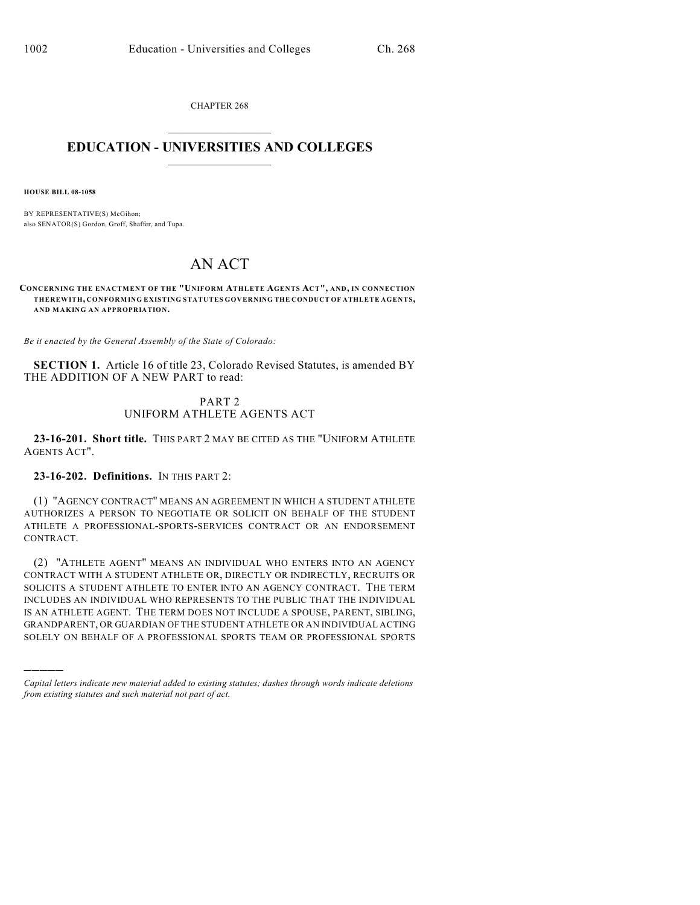CHAPTER 268  $\overline{\phantom{a}}$  . The set of the set of the set of the set of the set of the set of the set of the set of the set of the set of the set of the set of the set of the set of the set of the set of the set of the set of the set o

### **EDUCATION - UNIVERSITIES AND COLLEGES**  $\_$

**HOUSE BILL 08-1058**

)))))

BY REPRESENTATIVE(S) McGihon; also SENATOR(S) Gordon, Groff, Shaffer, and Tupa.

# AN ACT

**CONCERNING THE ENACTMENT OF THE "UNIFORM ATHLETE AGENTS ACT", AND, IN CONNECTION THEREWITH, CONFORMING EXISTING STATUTES GOVERNING THE CONDUCT OF ATHLETE AGENTS, AND MAKING AN APPROPRIATION.**

*Be it enacted by the General Assembly of the State of Colorado:*

**SECTION 1.** Article 16 of title 23, Colorado Revised Statutes, is amended BY THE ADDITION OF A NEW PART to read:

## PART 2 UNIFORM ATHLETE AGENTS ACT

**23-16-201. Short title.** THIS PART 2 MAY BE CITED AS THE "UNIFORM ATHLETE AGENTS ACT".

**23-16-202. Definitions.** IN THIS PART 2:

(1) "AGENCY CONTRACT" MEANS AN AGREEMENT IN WHICH A STUDENT ATHLETE AUTHORIZES A PERSON TO NEGOTIATE OR SOLICIT ON BEHALF OF THE STUDENT ATHLETE A PROFESSIONAL-SPORTS-SERVICES CONTRACT OR AN ENDORSEMENT CONTRACT.

(2) "ATHLETE AGENT" MEANS AN INDIVIDUAL WHO ENTERS INTO AN AGENCY CONTRACT WITH A STUDENT ATHLETE OR, DIRECTLY OR INDIRECTLY, RECRUITS OR SOLICITS A STUDENT ATHLETE TO ENTER INTO AN AGENCY CONTRACT. THE TERM INCLUDES AN INDIVIDUAL WHO REPRESENTS TO THE PUBLIC THAT THE INDIVIDUAL IS AN ATHLETE AGENT. THE TERM DOES NOT INCLUDE A SPOUSE, PARENT, SIBLING, GRANDPARENT, OR GUARDIAN OF THE STUDENT ATHLETE OR AN INDIVIDUAL ACTING SOLELY ON BEHALF OF A PROFESSIONAL SPORTS TEAM OR PROFESSIONAL SPORTS

*Capital letters indicate new material added to existing statutes; dashes through words indicate deletions from existing statutes and such material not part of act.*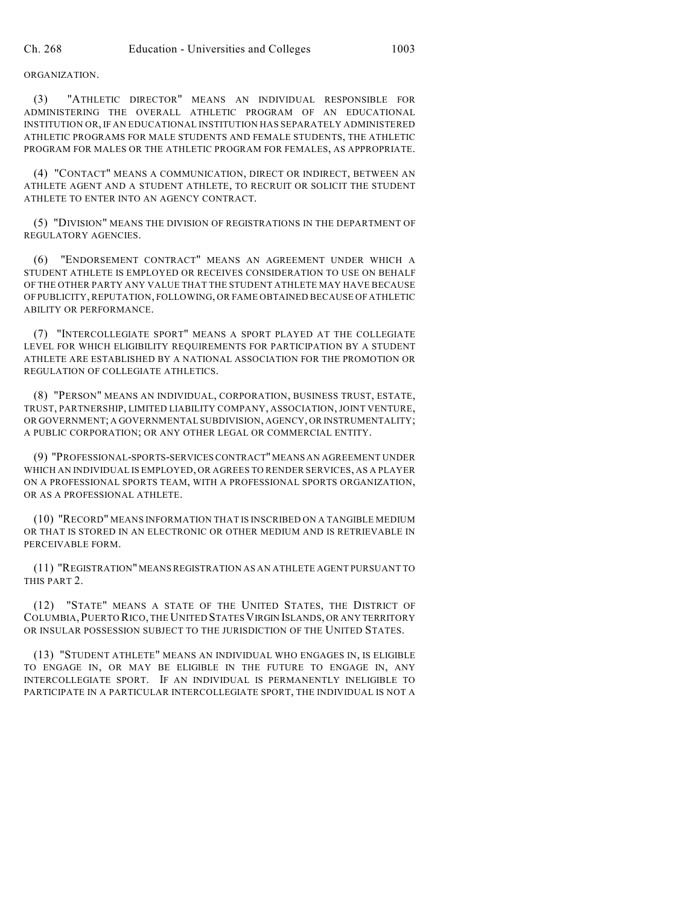ORGANIZATION.

(3) "ATHLETIC DIRECTOR" MEANS AN INDIVIDUAL RESPONSIBLE FOR ADMINISTERING THE OVERALL ATHLETIC PROGRAM OF AN EDUCATIONAL INSTITUTION OR, IF AN EDUCATIONAL INSTITUTION HAS SEPARATELY ADMINISTERED ATHLETIC PROGRAMS FOR MALE STUDENTS AND FEMALE STUDENTS, THE ATHLETIC PROGRAM FOR MALES OR THE ATHLETIC PROGRAM FOR FEMALES, AS APPROPRIATE.

(4) "CONTACT" MEANS A COMMUNICATION, DIRECT OR INDIRECT, BETWEEN AN ATHLETE AGENT AND A STUDENT ATHLETE, TO RECRUIT OR SOLICIT THE STUDENT ATHLETE TO ENTER INTO AN AGENCY CONTRACT.

(5) "DIVISION" MEANS THE DIVISION OF REGISTRATIONS IN THE DEPARTMENT OF REGULATORY AGENCIES.

(6) "ENDORSEMENT CONTRACT" MEANS AN AGREEMENT UNDER WHICH A STUDENT ATHLETE IS EMPLOYED OR RECEIVES CONSIDERATION TO USE ON BEHALF OF THE OTHER PARTY ANY VALUE THAT THE STUDENT ATHLETE MAY HAVE BECAUSE OF PUBLICITY, REPUTATION, FOLLOWING, OR FAME OBTAINED BECAUSE OF ATHLETIC ABILITY OR PERFORMANCE.

(7) "INTERCOLLEGIATE SPORT" MEANS A SPORT PLAYED AT THE COLLEGIATE LEVEL FOR WHICH ELIGIBILITY REQUIREMENTS FOR PARTICIPATION BY A STUDENT ATHLETE ARE ESTABLISHED BY A NATIONAL ASSOCIATION FOR THE PROMOTION OR REGULATION OF COLLEGIATE ATHLETICS.

(8) "PERSON" MEANS AN INDIVIDUAL, CORPORATION, BUSINESS TRUST, ESTATE, TRUST, PARTNERSHIP, LIMITED LIABILITY COMPANY, ASSOCIATION, JOINT VENTURE, OR GOVERNMENT; A GOVERNMENTAL SUBDIVISION, AGENCY, OR INSTRUMENTALITY; A PUBLIC CORPORATION; OR ANY OTHER LEGAL OR COMMERCIAL ENTITY.

(9) "PROFESSIONAL-SPORTS-SERVICES CONTRACT" MEANS AN AGREEMENT UNDER WHICH AN INDIVIDUAL IS EMPLOYED, OR AGREES TO RENDER SERVICES, AS A PLAYER ON A PROFESSIONAL SPORTS TEAM, WITH A PROFESSIONAL SPORTS ORGANIZATION, OR AS A PROFESSIONAL ATHLETE.

(10) "RECORD" MEANS INFORMATION THAT IS INSCRIBED ON A TANGIBLE MEDIUM OR THAT IS STORED IN AN ELECTRONIC OR OTHER MEDIUM AND IS RETRIEVABLE IN PERCEIVABLE FORM.

(11) "REGISTRATION" MEANS REGISTRATION AS AN ATHLETE AGENT PURSUANT TO THIS PART 2.

(12) "STATE" MEANS A STATE OF THE UNITED STATES, THE DISTRICT OF COLUMBIA,PUERTO RICO, THE UNITED STATESVIRGIN ISLANDS, OR ANY TERRITORY OR INSULAR POSSESSION SUBJECT TO THE JURISDICTION OF THE UNITED STATES.

(13) "STUDENT ATHLETE" MEANS AN INDIVIDUAL WHO ENGAGES IN, IS ELIGIBLE TO ENGAGE IN, OR MAY BE ELIGIBLE IN THE FUTURE TO ENGAGE IN, ANY INTERCOLLEGIATE SPORT. IF AN INDIVIDUAL IS PERMANENTLY INELIGIBLE TO PARTICIPATE IN A PARTICULAR INTERCOLLEGIATE SPORT, THE INDIVIDUAL IS NOT A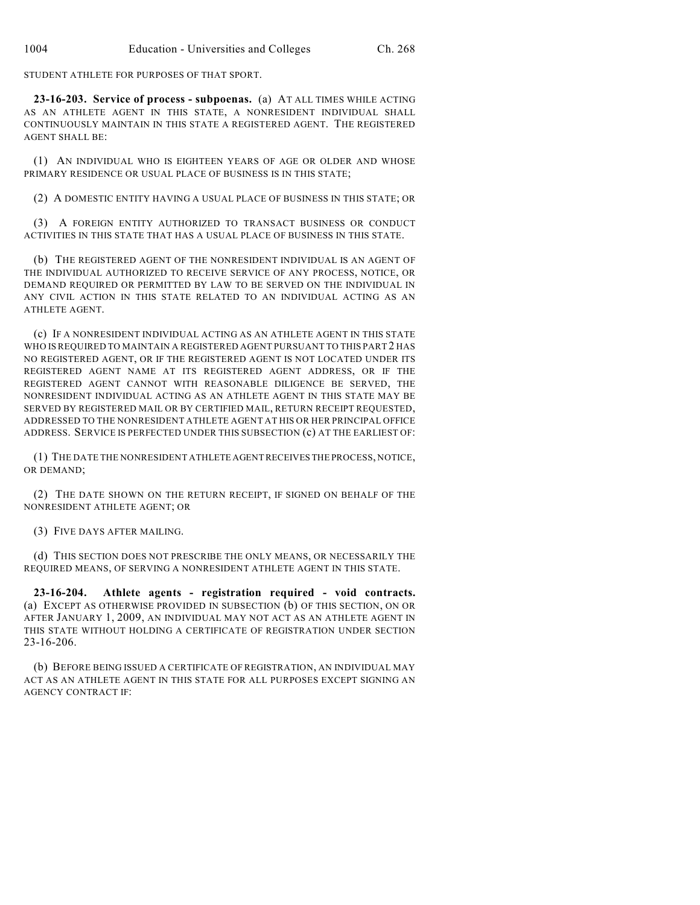STUDENT ATHLETE FOR PURPOSES OF THAT SPORT.

**23-16-203. Service of process - subpoenas.** (a) AT ALL TIMES WHILE ACTING AS AN ATHLETE AGENT IN THIS STATE, A NONRESIDENT INDIVIDUAL SHALL CONTINUOUSLY MAINTAIN IN THIS STATE A REGISTERED AGENT. THE REGISTERED AGENT SHALL BE:

(1) AN INDIVIDUAL WHO IS EIGHTEEN YEARS OF AGE OR OLDER AND WHOSE PRIMARY RESIDENCE OR USUAL PLACE OF BUSINESS IS IN THIS STATE;

(2) A DOMESTIC ENTITY HAVING A USUAL PLACE OF BUSINESS IN THIS STATE; OR

(3) A FOREIGN ENTITY AUTHORIZED TO TRANSACT BUSINESS OR CONDUCT ACTIVITIES IN THIS STATE THAT HAS A USUAL PLACE OF BUSINESS IN THIS STATE.

(b) THE REGISTERED AGENT OF THE NONRESIDENT INDIVIDUAL IS AN AGENT OF THE INDIVIDUAL AUTHORIZED TO RECEIVE SERVICE OF ANY PROCESS, NOTICE, OR DEMAND REQUIRED OR PERMITTED BY LAW TO BE SERVED ON THE INDIVIDUAL IN ANY CIVIL ACTION IN THIS STATE RELATED TO AN INDIVIDUAL ACTING AS AN ATHLETE AGENT.

(c) IF A NONRESIDENT INDIVIDUAL ACTING AS AN ATHLETE AGENT IN THIS STATE WHO IS REQUIRED TO MAINTAIN A REGISTERED AGENT PURSUANT TO THIS PART 2 HAS NO REGISTERED AGENT, OR IF THE REGISTERED AGENT IS NOT LOCATED UNDER ITS REGISTERED AGENT NAME AT ITS REGISTERED AGENT ADDRESS, OR IF THE REGISTERED AGENT CANNOT WITH REASONABLE DILIGENCE BE SERVED, THE NONRESIDENT INDIVIDUAL ACTING AS AN ATHLETE AGENT IN THIS STATE MAY BE SERVED BY REGISTERED MAIL OR BY CERTIFIED MAIL, RETURN RECEIPT REQUESTED, ADDRESSED TO THE NONRESIDENT ATHLETE AGENT AT HIS OR HER PRINCIPAL OFFICE ADDRESS. SERVICE IS PERFECTED UNDER THIS SUBSECTION (c) AT THE EARLIEST OF:

(1) THE DATE THE NONRESIDENT ATHLETE AGENT RECEIVES THE PROCESS, NOTICE, OR DEMAND;

(2) THE DATE SHOWN ON THE RETURN RECEIPT, IF SIGNED ON BEHALF OF THE NONRESIDENT ATHLETE AGENT; OR

(3) FIVE DAYS AFTER MAILING.

(d) THIS SECTION DOES NOT PRESCRIBE THE ONLY MEANS, OR NECESSARILY THE REQUIRED MEANS, OF SERVING A NONRESIDENT ATHLETE AGENT IN THIS STATE.

**23-16-204. Athlete agents - registration required - void contracts.** (a) EXCEPT AS OTHERWISE PROVIDED IN SUBSECTION (b) OF THIS SECTION, ON OR AFTER JANUARY 1, 2009, AN INDIVIDUAL MAY NOT ACT AS AN ATHLETE AGENT IN THIS STATE WITHOUT HOLDING A CERTIFICATE OF REGISTRATION UNDER SECTION 23-16-206.

(b) BEFORE BEING ISSUED A CERTIFICATE OF REGISTRATION, AN INDIVIDUAL MAY ACT AS AN ATHLETE AGENT IN THIS STATE FOR ALL PURPOSES EXCEPT SIGNING AN AGENCY CONTRACT IF: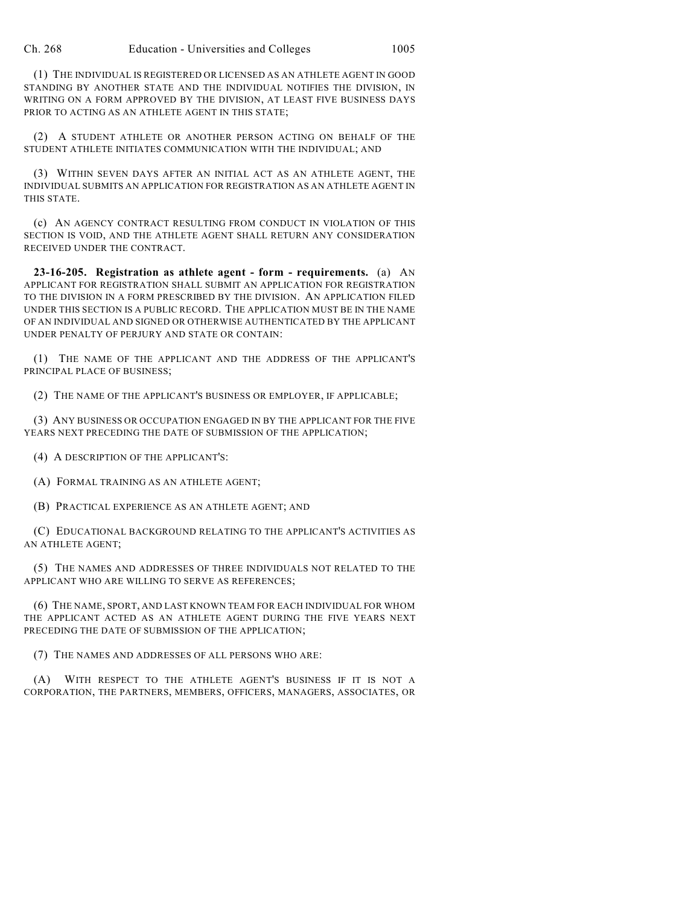(1) THE INDIVIDUAL IS REGISTERED OR LICENSED AS AN ATHLETE AGENT IN GOOD STANDING BY ANOTHER STATE AND THE INDIVIDUAL NOTIFIES THE DIVISION, IN WRITING ON A FORM APPROVED BY THE DIVISION, AT LEAST FIVE BUSINESS DAYS PRIOR TO ACTING AS AN ATHLETE AGENT IN THIS STATE;

(2) A STUDENT ATHLETE OR ANOTHER PERSON ACTING ON BEHALF OF THE STUDENT ATHLETE INITIATES COMMUNICATION WITH THE INDIVIDUAL; AND

(3) WITHIN SEVEN DAYS AFTER AN INITIAL ACT AS AN ATHLETE AGENT, THE INDIVIDUAL SUBMITS AN APPLICATION FOR REGISTRATION AS AN ATHLETE AGENT IN THIS STATE.

(c) AN AGENCY CONTRACT RESULTING FROM CONDUCT IN VIOLATION OF THIS SECTION IS VOID, AND THE ATHLETE AGENT SHALL RETURN ANY CONSIDERATION RECEIVED UNDER THE CONTRACT.

**23-16-205. Registration as athlete agent - form - requirements.** (a) AN APPLICANT FOR REGISTRATION SHALL SUBMIT AN APPLICATION FOR REGISTRATION TO THE DIVISION IN A FORM PRESCRIBED BY THE DIVISION. AN APPLICATION FILED UNDER THIS SECTION IS A PUBLIC RECORD. THE APPLICATION MUST BE IN THE NAME OF AN INDIVIDUAL AND SIGNED OR OTHERWISE AUTHENTICATED BY THE APPLICANT UNDER PENALTY OF PERJURY AND STATE OR CONTAIN:

(1) THE NAME OF THE APPLICANT AND THE ADDRESS OF THE APPLICANT'S PRINCIPAL PLACE OF BUSINESS;

(2) THE NAME OF THE APPLICANT'S BUSINESS OR EMPLOYER, IF APPLICABLE;

(3) ANY BUSINESS OR OCCUPATION ENGAGED IN BY THE APPLICANT FOR THE FIVE YEARS NEXT PRECEDING THE DATE OF SUBMISSION OF THE APPLICATION;

(4) A DESCRIPTION OF THE APPLICANT'S:

(A) FORMAL TRAINING AS AN ATHLETE AGENT;

(B) PRACTICAL EXPERIENCE AS AN ATHLETE AGENT; AND

(C) EDUCATIONAL BACKGROUND RELATING TO THE APPLICANT'S ACTIVITIES AS AN ATHLETE AGENT;

(5) THE NAMES AND ADDRESSES OF THREE INDIVIDUALS NOT RELATED TO THE APPLICANT WHO ARE WILLING TO SERVE AS REFERENCES;

(6) THE NAME, SPORT, AND LAST KNOWN TEAM FOR EACH INDIVIDUAL FOR WHOM THE APPLICANT ACTED AS AN ATHLETE AGENT DURING THE FIVE YEARS NEXT PRECEDING THE DATE OF SUBMISSION OF THE APPLICATION;

(7) THE NAMES AND ADDRESSES OF ALL PERSONS WHO ARE:

(A) WITH RESPECT TO THE ATHLETE AGENT'S BUSINESS IF IT IS NOT A CORPORATION, THE PARTNERS, MEMBERS, OFFICERS, MANAGERS, ASSOCIATES, OR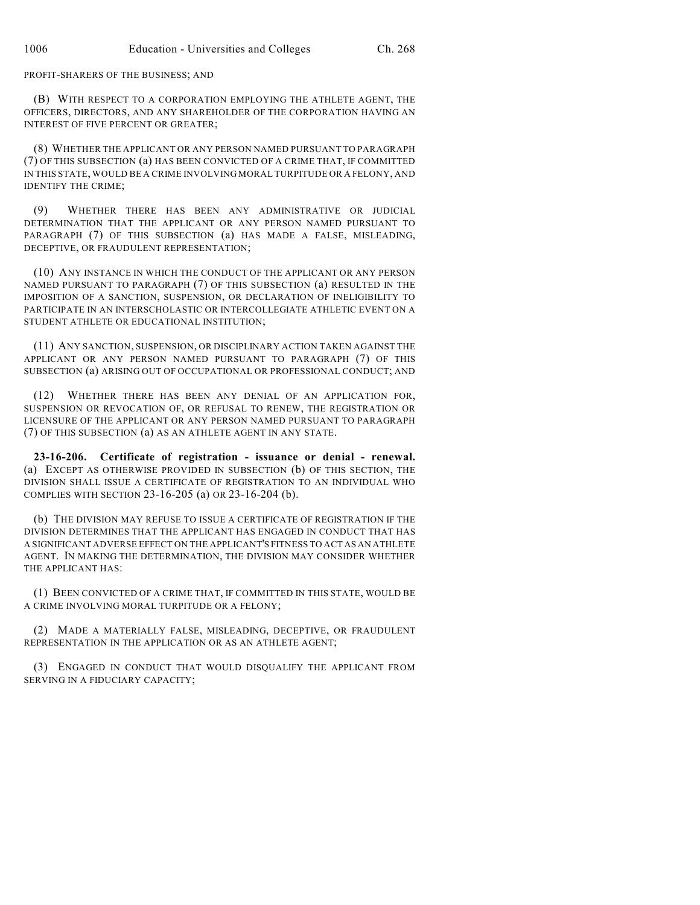#### PROFIT-SHARERS OF THE BUSINESS; AND

(B) WITH RESPECT TO A CORPORATION EMPLOYING THE ATHLETE AGENT, THE OFFICERS, DIRECTORS, AND ANY SHAREHOLDER OF THE CORPORATION HAVING AN INTEREST OF FIVE PERCENT OR GREATER;

(8) WHETHER THE APPLICANT OR ANY PERSON NAMED PURSUANT TO PARAGRAPH (7) OF THIS SUBSECTION (a) HAS BEEN CONVICTED OF A CRIME THAT, IF COMMITTED IN THIS STATE, WOULD BE A CRIME INVOLVING MORAL TURPITUDE OR A FELONY, AND IDENTIFY THE CRIME;

(9) WHETHER THERE HAS BEEN ANY ADMINISTRATIVE OR JUDICIAL DETERMINATION THAT THE APPLICANT OR ANY PERSON NAMED PURSUANT TO PARAGRAPH (7) OF THIS SUBSECTION (a) HAS MADE A FALSE, MISLEADING, DECEPTIVE, OR FRAUDULENT REPRESENTATION;

(10) ANY INSTANCE IN WHICH THE CONDUCT OF THE APPLICANT OR ANY PERSON NAMED PURSUANT TO PARAGRAPH (7) OF THIS SUBSECTION (a) RESULTED IN THE IMPOSITION OF A SANCTION, SUSPENSION, OR DECLARATION OF INELIGIBILITY TO PARTICIPATE IN AN INTERSCHOLASTIC OR INTERCOLLEGIATE ATHLETIC EVENT ON A STUDENT ATHLETE OR EDUCATIONAL INSTITUTION;

(11) ANY SANCTION, SUSPENSION, OR DISCIPLINARY ACTION TAKEN AGAINST THE APPLICANT OR ANY PERSON NAMED PURSUANT TO PARAGRAPH (7) OF THIS SUBSECTION (a) ARISING OUT OF OCCUPATIONAL OR PROFESSIONAL CONDUCT; AND

(12) WHETHER THERE HAS BEEN ANY DENIAL OF AN APPLICATION FOR, SUSPENSION OR REVOCATION OF, OR REFUSAL TO RENEW, THE REGISTRATION OR LICENSURE OF THE APPLICANT OR ANY PERSON NAMED PURSUANT TO PARAGRAPH (7) OF THIS SUBSECTION (a) AS AN ATHLETE AGENT IN ANY STATE.

**23-16-206. Certificate of registration - issuance or denial - renewal.** (a) EXCEPT AS OTHERWISE PROVIDED IN SUBSECTION (b) OF THIS SECTION, THE DIVISION SHALL ISSUE A CERTIFICATE OF REGISTRATION TO AN INDIVIDUAL WHO COMPLIES WITH SECTION 23-16-205 (a) OR 23-16-204 (b).

(b) THE DIVISION MAY REFUSE TO ISSUE A CERTIFICATE OF REGISTRATION IF THE DIVISION DETERMINES THAT THE APPLICANT HAS ENGAGED IN CONDUCT THAT HAS A SIGNIFICANT ADVERSE EFFECT ON THE APPLICANT'S FITNESS TO ACT AS AN ATHLETE AGENT. IN MAKING THE DETERMINATION, THE DIVISION MAY CONSIDER WHETHER THE APPLICANT HAS:

(1) BEEN CONVICTED OF A CRIME THAT, IF COMMITTED IN THIS STATE, WOULD BE A CRIME INVOLVING MORAL TURPITUDE OR A FELONY;

(2) MADE A MATERIALLY FALSE, MISLEADING, DECEPTIVE, OR FRAUDULENT REPRESENTATION IN THE APPLICATION OR AS AN ATHLETE AGENT;

(3) ENGAGED IN CONDUCT THAT WOULD DISQUALIFY THE APPLICANT FROM SERVING IN A FIDUCIARY CAPACITY;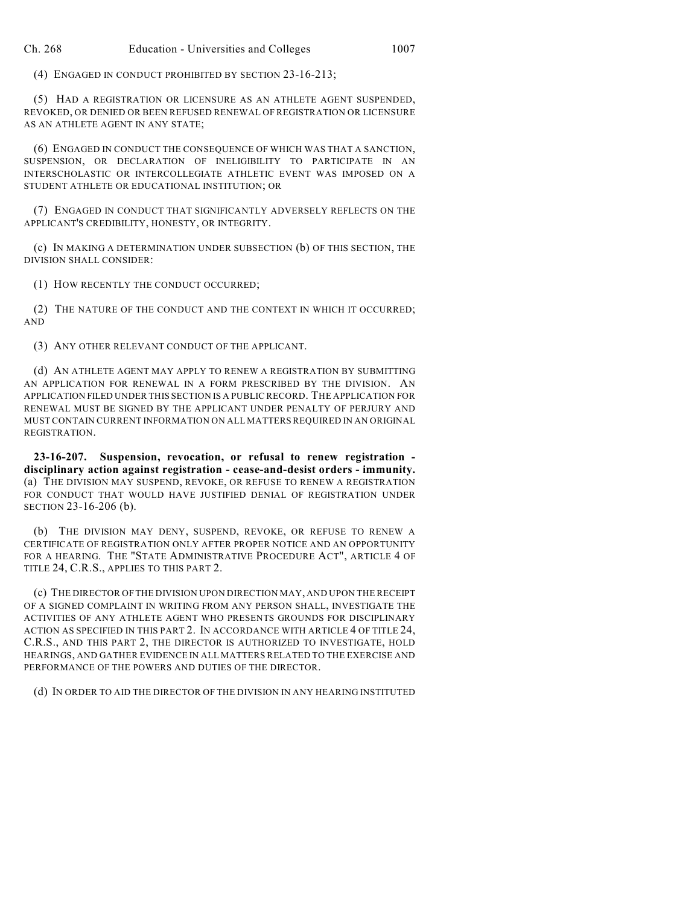(4) ENGAGED IN CONDUCT PROHIBITED BY SECTION 23-16-213;

(5) HAD A REGISTRATION OR LICENSURE AS AN ATHLETE AGENT SUSPENDED, REVOKED, OR DENIED OR BEEN REFUSED RENEWAL OF REGISTRATION OR LICENSURE AS AN ATHLETE AGENT IN ANY STATE;

(6) ENGAGED IN CONDUCT THE CONSEQUENCE OF WHICH WAS THAT A SANCTION, SUSPENSION, OR DECLARATION OF INELIGIBILITY TO PARTICIPATE IN AN INTERSCHOLASTIC OR INTERCOLLEGIATE ATHLETIC EVENT WAS IMPOSED ON A STUDENT ATHLETE OR EDUCATIONAL INSTITUTION; OR

(7) ENGAGED IN CONDUCT THAT SIGNIFICANTLY ADVERSELY REFLECTS ON THE APPLICANT'S CREDIBILITY, HONESTY, OR INTEGRITY.

(c) IN MAKING A DETERMINATION UNDER SUBSECTION (b) OF THIS SECTION, THE DIVISION SHALL CONSIDER:

(1) HOW RECENTLY THE CONDUCT OCCURRED;

(2) THE NATURE OF THE CONDUCT AND THE CONTEXT IN WHICH IT OCCURRED; AND

(3) ANY OTHER RELEVANT CONDUCT OF THE APPLICANT.

(d) AN ATHLETE AGENT MAY APPLY TO RENEW A REGISTRATION BY SUBMITTING AN APPLICATION FOR RENEWAL IN A FORM PRESCRIBED BY THE DIVISION. AN APPLICATION FILED UNDER THIS SECTION IS A PUBLIC RECORD. THE APPLICATION FOR RENEWAL MUST BE SIGNED BY THE APPLICANT UNDER PENALTY OF PERJURY AND MUST CONTAIN CURRENT INFORMATION ON ALL MATTERS REQUIRED IN AN ORIGINAL REGISTRATION.

**23-16-207. Suspension, revocation, or refusal to renew registration disciplinary action against registration - cease-and-desist orders - immunity.** (a) THE DIVISION MAY SUSPEND, REVOKE, OR REFUSE TO RENEW A REGISTRATION FOR CONDUCT THAT WOULD HAVE JUSTIFIED DENIAL OF REGISTRATION UNDER SECTION 23-16-206 (b).

(b) THE DIVISION MAY DENY, SUSPEND, REVOKE, OR REFUSE TO RENEW A CERTIFICATE OF REGISTRATION ONLY AFTER PROPER NOTICE AND AN OPPORTUNITY FOR A HEARING. THE "STATE ADMINISTRATIVE PROCEDURE ACT", ARTICLE 4 OF TITLE 24, C.R.S., APPLIES TO THIS PART 2.

(c) THE DIRECTOR OF THE DIVISION UPON DIRECTION MAY, AND UPON THE RECEIPT OF A SIGNED COMPLAINT IN WRITING FROM ANY PERSON SHALL, INVESTIGATE THE ACTIVITIES OF ANY ATHLETE AGENT WHO PRESENTS GROUNDS FOR DISCIPLINARY ACTION AS SPECIFIED IN THIS PART 2. IN ACCORDANCE WITH ARTICLE 4 OF TITLE 24, C.R.S., AND THIS PART 2, THE DIRECTOR IS AUTHORIZED TO INVESTIGATE, HOLD HEARINGS, AND GATHER EVIDENCE IN ALL MATTERS RELATED TO THE EXERCISE AND PERFORMANCE OF THE POWERS AND DUTIES OF THE DIRECTOR.

(d) IN ORDER TO AID THE DIRECTOR OF THE DIVISION IN ANY HEARING INSTITUTED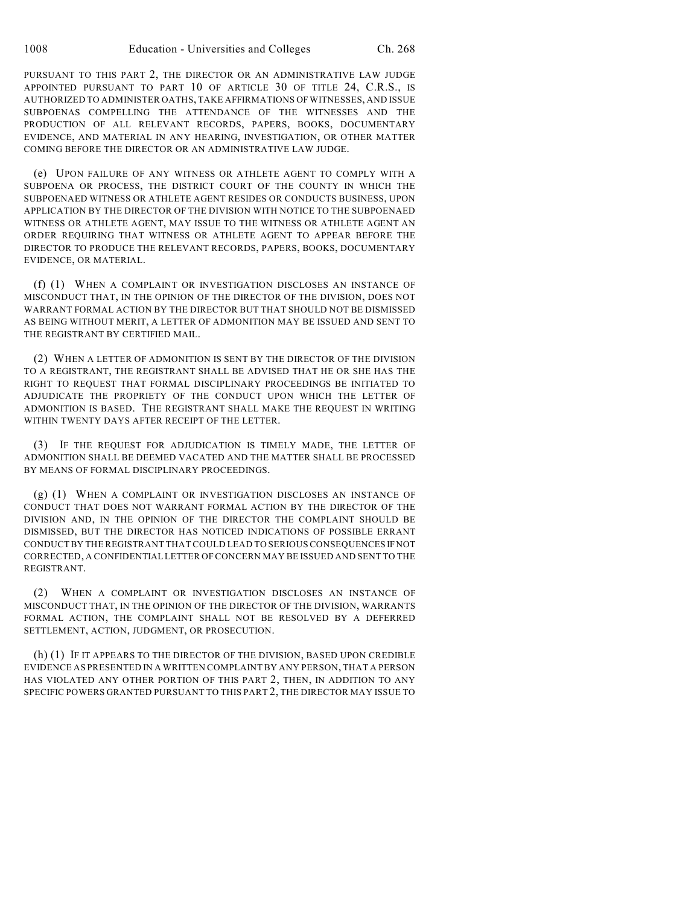PURSUANT TO THIS PART 2, THE DIRECTOR OR AN ADMINISTRATIVE LAW JUDGE APPOINTED PURSUANT TO PART 10 OF ARTICLE 30 OF TITLE 24, C.R.S., IS AUTHORIZED TO ADMINISTER OATHS, TAKE AFFIRMATIONS OF WITNESSES, AND ISSUE SUBPOENAS COMPELLING THE ATTENDANCE OF THE WITNESSES AND THE PRODUCTION OF ALL RELEVANT RECORDS, PAPERS, BOOKS, DOCUMENTARY EVIDENCE, AND MATERIAL IN ANY HEARING, INVESTIGATION, OR OTHER MATTER COMING BEFORE THE DIRECTOR OR AN ADMINISTRATIVE LAW JUDGE.

(e) UPON FAILURE OF ANY WITNESS OR ATHLETE AGENT TO COMPLY WITH A SUBPOENA OR PROCESS, THE DISTRICT COURT OF THE COUNTY IN WHICH THE SUBPOENAED WITNESS OR ATHLETE AGENT RESIDES OR CONDUCTS BUSINESS, UPON APPLICATION BY THE DIRECTOR OF THE DIVISION WITH NOTICE TO THE SUBPOENAED WITNESS OR ATHLETE AGENT, MAY ISSUE TO THE WITNESS OR ATHLETE AGENT AN ORDER REQUIRING THAT WITNESS OR ATHLETE AGENT TO APPEAR BEFORE THE DIRECTOR TO PRODUCE THE RELEVANT RECORDS, PAPERS, BOOKS, DOCUMENTARY EVIDENCE, OR MATERIAL.

(f) (1) WHEN A COMPLAINT OR INVESTIGATION DISCLOSES AN INSTANCE OF MISCONDUCT THAT, IN THE OPINION OF THE DIRECTOR OF THE DIVISION, DOES NOT WARRANT FORMAL ACTION BY THE DIRECTOR BUT THAT SHOULD NOT BE DISMISSED AS BEING WITHOUT MERIT, A LETTER OF ADMONITION MAY BE ISSUED AND SENT TO THE REGISTRANT BY CERTIFIED MAIL.

(2) WHEN A LETTER OF ADMONITION IS SENT BY THE DIRECTOR OF THE DIVISION TO A REGISTRANT, THE REGISTRANT SHALL BE ADVISED THAT HE OR SHE HAS THE RIGHT TO REQUEST THAT FORMAL DISCIPLINARY PROCEEDINGS BE INITIATED TO ADJUDICATE THE PROPRIETY OF THE CONDUCT UPON WHICH THE LETTER OF ADMONITION IS BASED. THE REGISTRANT SHALL MAKE THE REQUEST IN WRITING WITHIN TWENTY DAYS AFTER RECEIPT OF THE LETTER.

(3) IF THE REQUEST FOR ADJUDICATION IS TIMELY MADE, THE LETTER OF ADMONITION SHALL BE DEEMED VACATED AND THE MATTER SHALL BE PROCESSED BY MEANS OF FORMAL DISCIPLINARY PROCEEDINGS.

(g) (1) WHEN A COMPLAINT OR INVESTIGATION DISCLOSES AN INSTANCE OF CONDUCT THAT DOES NOT WARRANT FORMAL ACTION BY THE DIRECTOR OF THE DIVISION AND, IN THE OPINION OF THE DIRECTOR THE COMPLAINT SHOULD BE DISMISSED, BUT THE DIRECTOR HAS NOTICED INDICATIONS OF POSSIBLE ERRANT CONDUCT BY THE REGISTRANT THAT COULD LEAD TO SERIOUS CONSEQUENCES IF NOT CORRECTED, A CONFIDENTIAL LETTER OF CONCERN MAY BE ISSUED AND SENT TO THE REGISTRANT.

(2) WHEN A COMPLAINT OR INVESTIGATION DISCLOSES AN INSTANCE OF MISCONDUCT THAT, IN THE OPINION OF THE DIRECTOR OF THE DIVISION, WARRANTS FORMAL ACTION, THE COMPLAINT SHALL NOT BE RESOLVED BY A DEFERRED SETTLEMENT, ACTION, JUDGMENT, OR PROSECUTION.

(h) (1) IF IT APPEARS TO THE DIRECTOR OF THE DIVISION, BASED UPON CREDIBLE EVIDENCE AS PRESENTED IN A WRITTEN COMPLAINT BY ANY PERSON, THAT A PERSON HAS VIOLATED ANY OTHER PORTION OF THIS PART 2, THEN, IN ADDITION TO ANY SPECIFIC POWERS GRANTED PURSUANT TO THIS PART 2, THE DIRECTOR MAY ISSUE TO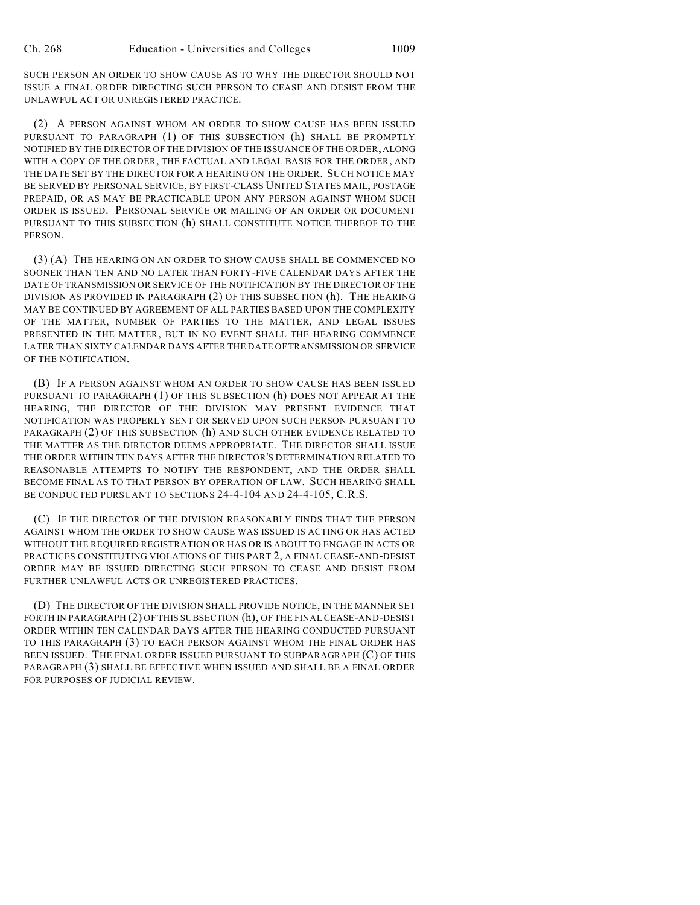SUCH PERSON AN ORDER TO SHOW CAUSE AS TO WHY THE DIRECTOR SHOULD NOT ISSUE A FINAL ORDER DIRECTING SUCH PERSON TO CEASE AND DESIST FROM THE UNLAWFUL ACT OR UNREGISTERED PRACTICE.

(2) A PERSON AGAINST WHOM AN ORDER TO SHOW CAUSE HAS BEEN ISSUED PURSUANT TO PARAGRAPH (1) OF THIS SUBSECTION (h) SHALL BE PROMPTLY NOTIFIED BY THE DIRECTOR OF THE DIVISION OF THE ISSUANCE OF THE ORDER, ALONG WITH A COPY OF THE ORDER, THE FACTUAL AND LEGAL BASIS FOR THE ORDER, AND THE DATE SET BY THE DIRECTOR FOR A HEARING ON THE ORDER. SUCH NOTICE MAY BE SERVED BY PERSONAL SERVICE, BY FIRST-CLASS UNITED STATES MAIL, POSTAGE PREPAID, OR AS MAY BE PRACTICABLE UPON ANY PERSON AGAINST WHOM SUCH ORDER IS ISSUED. PERSONAL SERVICE OR MAILING OF AN ORDER OR DOCUMENT PURSUANT TO THIS SUBSECTION (h) SHALL CONSTITUTE NOTICE THEREOF TO THE PERSON.

(3) (A) THE HEARING ON AN ORDER TO SHOW CAUSE SHALL BE COMMENCED NO SOONER THAN TEN AND NO LATER THAN FORTY-FIVE CALENDAR DAYS AFTER THE DATE OF TRANSMISSION OR SERVICE OF THE NOTIFICATION BY THE DIRECTOR OF THE DIVISION AS PROVIDED IN PARAGRAPH (2) OF THIS SUBSECTION (h). THE HEARING MAY BE CONTINUED BY AGREEMENT OF ALL PARTIES BASED UPON THE COMPLEXITY OF THE MATTER, NUMBER OF PARTIES TO THE MATTER, AND LEGAL ISSUES PRESENTED IN THE MATTER, BUT IN NO EVENT SHALL THE HEARING COMMENCE LATER THAN SIXTY CALENDAR DAYS AFTER THE DATE OFTRANSMISSION OR SERVICE OF THE NOTIFICATION.

(B) IF A PERSON AGAINST WHOM AN ORDER TO SHOW CAUSE HAS BEEN ISSUED PURSUANT TO PARAGRAPH (1) OF THIS SUBSECTION (h) DOES NOT APPEAR AT THE HEARING, THE DIRECTOR OF THE DIVISION MAY PRESENT EVIDENCE THAT NOTIFICATION WAS PROPERLY SENT OR SERVED UPON SUCH PERSON PURSUANT TO PARAGRAPH (2) OF THIS SUBSECTION (h) AND SUCH OTHER EVIDENCE RELATED TO THE MATTER AS THE DIRECTOR DEEMS APPROPRIATE. THE DIRECTOR SHALL ISSUE THE ORDER WITHIN TEN DAYS AFTER THE DIRECTOR'S DETERMINATION RELATED TO REASONABLE ATTEMPTS TO NOTIFY THE RESPONDENT, AND THE ORDER SHALL BECOME FINAL AS TO THAT PERSON BY OPERATION OF LAW. SUCH HEARING SHALL BE CONDUCTED PURSUANT TO SECTIONS 24-4-104 AND 24-4-105, C.R.S.

(C) IF THE DIRECTOR OF THE DIVISION REASONABLY FINDS THAT THE PERSON AGAINST WHOM THE ORDER TO SHOW CAUSE WAS ISSUED IS ACTING OR HAS ACTED WITHOUT THE REQUIRED REGISTRATION OR HAS OR IS ABOUT TO ENGAGE IN ACTS OR PRACTICES CONSTITUTING VIOLATIONS OF THIS PART 2, A FINAL CEASE-AND-DESIST ORDER MAY BE ISSUED DIRECTING SUCH PERSON TO CEASE AND DESIST FROM FURTHER UNLAWFUL ACTS OR UNREGISTERED PRACTICES.

(D) THE DIRECTOR OF THE DIVISION SHALL PROVIDE NOTICE, IN THE MANNER SET FORTH IN PARAGRAPH (2) OF THIS SUBSECTION (h), OF THE FINAL CEASE-AND-DESIST ORDER WITHIN TEN CALENDAR DAYS AFTER THE HEARING CONDUCTED PURSUANT TO THIS PARAGRAPH (3) TO EACH PERSON AGAINST WHOM THE FINAL ORDER HAS BEEN ISSUED. THE FINAL ORDER ISSUED PURSUANT TO SUBPARAGRAPH (C) OF THIS PARAGRAPH (3) SHALL BE EFFECTIVE WHEN ISSUED AND SHALL BE A FINAL ORDER FOR PURPOSES OF JUDICIAL REVIEW.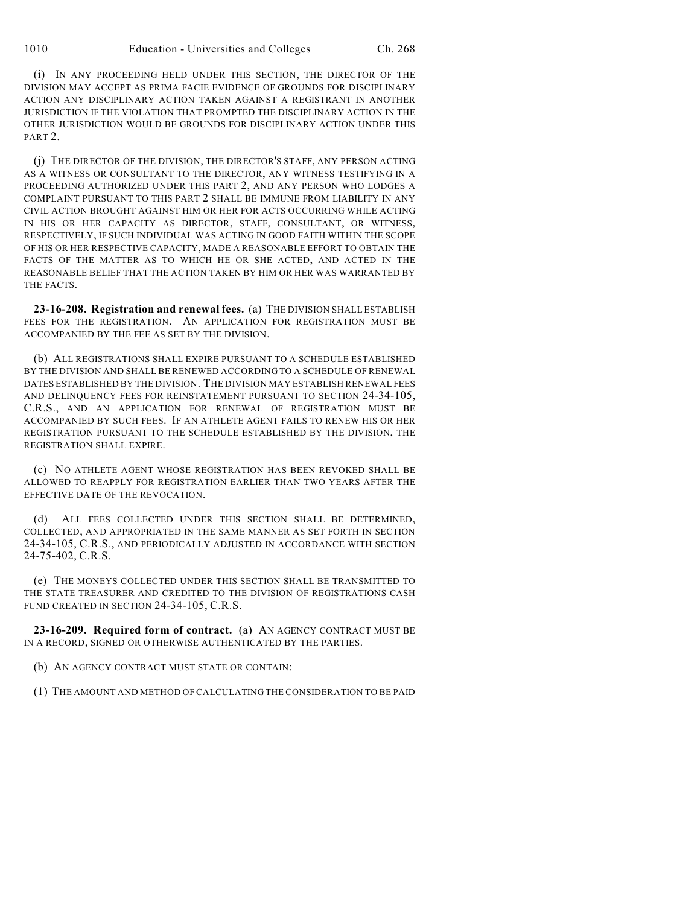(i) IN ANY PROCEEDING HELD UNDER THIS SECTION, THE DIRECTOR OF THE DIVISION MAY ACCEPT AS PRIMA FACIE EVIDENCE OF GROUNDS FOR DISCIPLINARY ACTION ANY DISCIPLINARY ACTION TAKEN AGAINST A REGISTRANT IN ANOTHER JURISDICTION IF THE VIOLATION THAT PROMPTED THE DISCIPLINARY ACTION IN THE OTHER JURISDICTION WOULD BE GROUNDS FOR DISCIPLINARY ACTION UNDER THIS PART 2.

(j) THE DIRECTOR OF THE DIVISION, THE DIRECTOR'S STAFF, ANY PERSON ACTING AS A WITNESS OR CONSULTANT TO THE DIRECTOR, ANY WITNESS TESTIFYING IN A PROCEEDING AUTHORIZED UNDER THIS PART 2, AND ANY PERSON WHO LODGES A COMPLAINT PURSUANT TO THIS PART 2 SHALL BE IMMUNE FROM LIABILITY IN ANY CIVIL ACTION BROUGHT AGAINST HIM OR HER FOR ACTS OCCURRING WHILE ACTING IN HIS OR HER CAPACITY AS DIRECTOR, STAFF, CONSULTANT, OR WITNESS, RESPECTIVELY, IF SUCH INDIVIDUAL WAS ACTING IN GOOD FAITH WITHIN THE SCOPE OF HIS OR HER RESPECTIVE CAPACITY, MADE A REASONABLE EFFORT TO OBTAIN THE FACTS OF THE MATTER AS TO WHICH HE OR SHE ACTED, AND ACTED IN THE REASONABLE BELIEF THAT THE ACTION TAKEN BY HIM OR HER WAS WARRANTED BY THE FACTS.

**23-16-208. Registration and renewal fees.** (a) THE DIVISION SHALL ESTABLISH FEES FOR THE REGISTRATION. AN APPLICATION FOR REGISTRATION MUST BE ACCOMPANIED BY THE FEE AS SET BY THE DIVISION.

(b) ALL REGISTRATIONS SHALL EXPIRE PURSUANT TO A SCHEDULE ESTABLISHED BY THE DIVISION AND SHALL BE RENEWED ACCORDING TO A SCHEDULE OF RENEWAL DATES ESTABLISHED BY THE DIVISION. THE DIVISION MAY ESTABLISH RENEWAL FEES AND DELINQUENCY FEES FOR REINSTATEMENT PURSUANT TO SECTION 24-34-105, C.R.S., AND AN APPLICATION FOR RENEWAL OF REGISTRATION MUST BE ACCOMPANIED BY SUCH FEES. IF AN ATHLETE AGENT FAILS TO RENEW HIS OR HER REGISTRATION PURSUANT TO THE SCHEDULE ESTABLISHED BY THE DIVISION, THE REGISTRATION SHALL EXPIRE.

(c) NO ATHLETE AGENT WHOSE REGISTRATION HAS BEEN REVOKED SHALL BE ALLOWED TO REAPPLY FOR REGISTRATION EARLIER THAN TWO YEARS AFTER THE EFFECTIVE DATE OF THE REVOCATION.

(d) ALL FEES COLLECTED UNDER THIS SECTION SHALL BE DETERMINED, COLLECTED, AND APPROPRIATED IN THE SAME MANNER AS SET FORTH IN SECTION 24-34-105, C.R.S., AND PERIODICALLY ADJUSTED IN ACCORDANCE WITH SECTION 24-75-402, C.R.S.

(e) THE MONEYS COLLECTED UNDER THIS SECTION SHALL BE TRANSMITTED TO THE STATE TREASURER AND CREDITED TO THE DIVISION OF REGISTRATIONS CASH FUND CREATED IN SECTION 24-34-105, C.R.S.

**23-16-209. Required form of contract.** (a) AN AGENCY CONTRACT MUST BE IN A RECORD, SIGNED OR OTHERWISE AUTHENTICATED BY THE PARTIES.

(b) AN AGENCY CONTRACT MUST STATE OR CONTAIN:

(1) THE AMOUNT AND METHOD OF CALCULATING THE CONSIDERATION TO BE PAID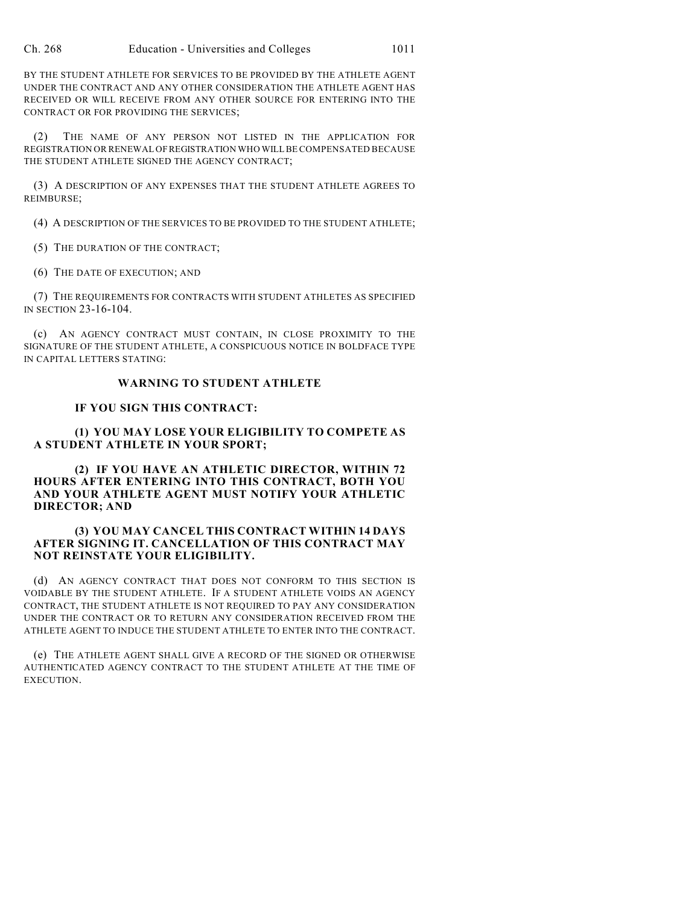BY THE STUDENT ATHLETE FOR SERVICES TO BE PROVIDED BY THE ATHLETE AGENT UNDER THE CONTRACT AND ANY OTHER CONSIDERATION THE ATHLETE AGENT HAS RECEIVED OR WILL RECEIVE FROM ANY OTHER SOURCE FOR ENTERING INTO THE CONTRACT OR FOR PROVIDING THE SERVICES;

(2) THE NAME OF ANY PERSON NOT LISTED IN THE APPLICATION FOR REGISTRATION OR RENEWAL OF REGISTRATION WHO WILL BE COMPENSATED BECAUSE THE STUDENT ATHLETE SIGNED THE AGENCY CONTRACT;

(3) A DESCRIPTION OF ANY EXPENSES THAT THE STUDENT ATHLETE AGREES TO REIMBURSE;

(4) A DESCRIPTION OF THE SERVICES TO BE PROVIDED TO THE STUDENT ATHLETE;

(5) THE DURATION OF THE CONTRACT;

(6) THE DATE OF EXECUTION; AND

(7) THE REQUIREMENTS FOR CONTRACTS WITH STUDENT ATHLETES AS SPECIFIED IN SECTION 23-16-104.

(c) AN AGENCY CONTRACT MUST CONTAIN, IN CLOSE PROXIMITY TO THE SIGNATURE OF THE STUDENT ATHLETE, A CONSPICUOUS NOTICE IN BOLDFACE TYPE IN CAPITAL LETTERS STATING:

#### **WARNING TO STUDENT ATHLETE**

#### **IF YOU SIGN THIS CONTRACT:**

**(1) YOU MAY LOSE YOUR ELIGIBILITY TO COMPETE AS A STUDENT ATHLETE IN YOUR SPORT;**

**(2) IF YOU HAVE AN ATHLETIC DIRECTOR, WITHIN 72 HOURS AFTER ENTERING INTO THIS CONTRACT, BOTH YOU AND YOUR ATHLETE AGENT MUST NOTIFY YOUR ATHLETIC DIRECTOR; AND**

#### **(3) YOU MAY CANCEL THIS CONTRACT WITHIN 14 DAYS AFTER SIGNING IT. CANCELLATION OF THIS CONTRACT MAY NOT REINSTATE YOUR ELIGIBILITY.**

(d) AN AGENCY CONTRACT THAT DOES NOT CONFORM TO THIS SECTION IS VOIDABLE BY THE STUDENT ATHLETE. IF A STUDENT ATHLETE VOIDS AN AGENCY CONTRACT, THE STUDENT ATHLETE IS NOT REQUIRED TO PAY ANY CONSIDERATION UNDER THE CONTRACT OR TO RETURN ANY CONSIDERATION RECEIVED FROM THE ATHLETE AGENT TO INDUCE THE STUDENT ATHLETE TO ENTER INTO THE CONTRACT.

(e) THE ATHLETE AGENT SHALL GIVE A RECORD OF THE SIGNED OR OTHERWISE AUTHENTICATED AGENCY CONTRACT TO THE STUDENT ATHLETE AT THE TIME OF EXECUTION.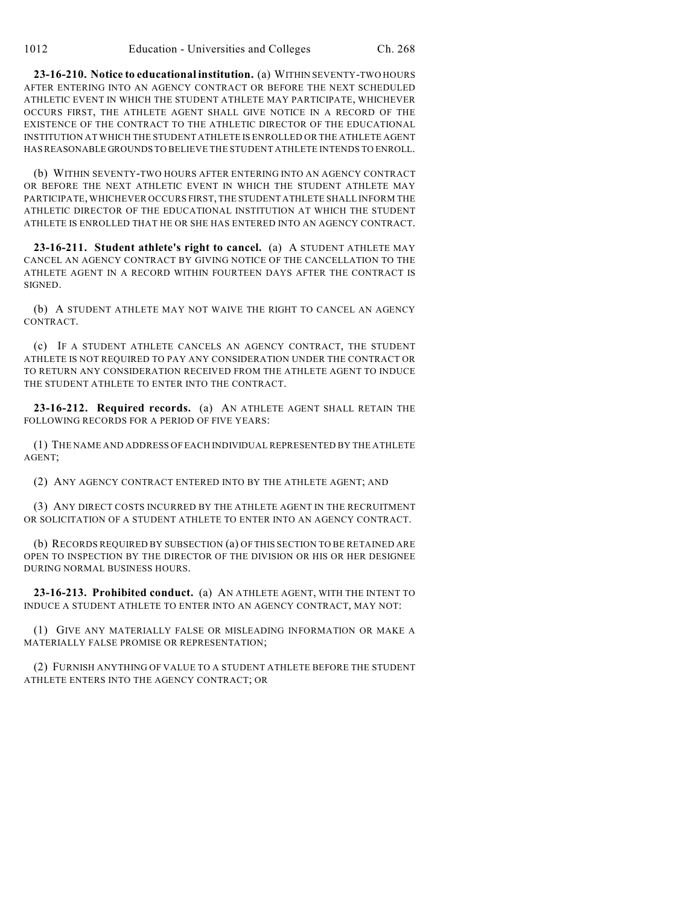**23-16-210. Notice to educational institution.** (a) WITHIN SEVENTY-TWO HOURS AFTER ENTERING INTO AN AGENCY CONTRACT OR BEFORE THE NEXT SCHEDULED ATHLETIC EVENT IN WHICH THE STUDENT ATHLETE MAY PARTICIPATE, WHICHEVER OCCURS FIRST, THE ATHLETE AGENT SHALL GIVE NOTICE IN A RECORD OF THE EXISTENCE OF THE CONTRACT TO THE ATHLETIC DIRECTOR OF THE EDUCATIONAL INSTITUTION AT WHICH THE STUDENT ATHLETE IS ENROLLED OR THE ATHLETE AGENT HAS REASONABLE GROUNDS TO BELIEVE THE STUDENT ATHLETE INTENDS TO ENROLL.

(b) WITHIN SEVENTY-TWO HOURS AFTER ENTERING INTO AN AGENCY CONTRACT OR BEFORE THE NEXT ATHLETIC EVENT IN WHICH THE STUDENT ATHLETE MAY PARTICIPATE, WHICHEVER OCCURS FIRST, THE STUDENT ATHLETE SHALL INFORM THE ATHLETIC DIRECTOR OF THE EDUCATIONAL INSTITUTION AT WHICH THE STUDENT ATHLETE IS ENROLLED THAT HE OR SHE HAS ENTERED INTO AN AGENCY CONTRACT.

**23-16-211. Student athlete's right to cancel.** (a) A STUDENT ATHLETE MAY CANCEL AN AGENCY CONTRACT BY GIVING NOTICE OF THE CANCELLATION TO THE ATHLETE AGENT IN A RECORD WITHIN FOURTEEN DAYS AFTER THE CONTRACT IS SIGNED.

(b) A STUDENT ATHLETE MAY NOT WAIVE THE RIGHT TO CANCEL AN AGENCY CONTRACT.

(c) IF A STUDENT ATHLETE CANCELS AN AGENCY CONTRACT, THE STUDENT ATHLETE IS NOT REQUIRED TO PAY ANY CONSIDERATION UNDER THE CONTRACT OR TO RETURN ANY CONSIDERATION RECEIVED FROM THE ATHLETE AGENT TO INDUCE THE STUDENT ATHLETE TO ENTER INTO THE CONTRACT.

**23-16-212. Required records.** (a) AN ATHLETE AGENT SHALL RETAIN THE FOLLOWING RECORDS FOR A PERIOD OF FIVE YEARS:

(1) THE NAME AND ADDRESS OF EACH INDIVIDUAL REPRESENTED BY THE ATHLETE AGENT;

(2) ANY AGENCY CONTRACT ENTERED INTO BY THE ATHLETE AGENT; AND

(3) ANY DIRECT COSTS INCURRED BY THE ATHLETE AGENT IN THE RECRUITMENT OR SOLICITATION OF A STUDENT ATHLETE TO ENTER INTO AN AGENCY CONTRACT.

(b) RECORDS REQUIRED BY SUBSECTION (a) OFTHIS SECTION TO BE RETAINED ARE OPEN TO INSPECTION BY THE DIRECTOR OF THE DIVISION OR HIS OR HER DESIGNEE DURING NORMAL BUSINESS HOURS.

**23-16-213. Prohibited conduct.** (a) AN ATHLETE AGENT, WITH THE INTENT TO INDUCE A STUDENT ATHLETE TO ENTER INTO AN AGENCY CONTRACT, MAY NOT:

(1) GIVE ANY MATERIALLY FALSE OR MISLEADING INFORMATION OR MAKE A MATERIALLY FALSE PROMISE OR REPRESENTATION;

(2) FURNISH ANYTHING OF VALUE TO A STUDENT ATHLETE BEFORE THE STUDENT ATHLETE ENTERS INTO THE AGENCY CONTRACT; OR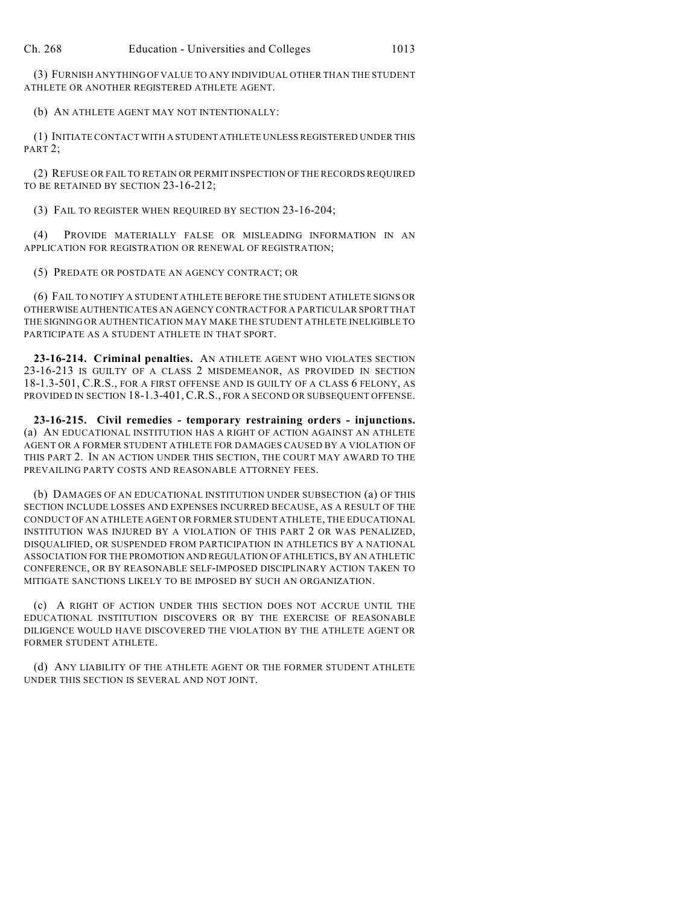(3) FURNISH ANYTHING OF VALUE TO ANY INDIVIDUAL OTHER THAN THE STUDENT ATHLETE OR ANOTHER REGISTERED ATHLETE AGENT.

(b) AN ATHLETE AGENT MAY NOT INTENTIONALLY:

(1) INITIATE CONTACT WITH A STUDENT ATHLETE UNLESS REGISTERED UNDER THIS PART<sub>2</sub>;

(2) REFUSE OR FAIL TO RETAIN OR PERMIT INSPECTION OF THE RECORDS REQUIRED TO BE RETAINED BY SECTION 23-16-212;

(3) FAIL TO REGISTER WHEN REQUIRED BY SECTION 23-16-204;

(4) PROVIDE MATERIALLY FALSE OR MISLEADING INFORMATION IN AN APPLICATION FOR REGISTRATION OR RENEWAL OF REGISTRATION;

(5) PREDATE OR POSTDATE AN AGENCY CONTRACT; OR

(6) FAIL TO NOTIFY A STUDENT ATHLETE BEFORE THE STUDENT ATHLETE SIGNS OR OTHERWISE AUTHENTICATES AN AGENCY CONTRACT FOR A PARTICULAR SPORT THAT THE SIGNING OR AUTHENTICATION MAY MAKE THE STUDENT ATHLETE INELIGIBLE TO PARTICIPATE AS A STUDENT ATHLETE IN THAT SPORT.

**23-16-214. Criminal penalties.** AN ATHLETE AGENT WHO VIOLATES SECTION 23-16-213 IS GUILTY OF A CLASS 2 MISDEMEANOR, AS PROVIDED IN SECTION 18-1.3-501, C.R.S., FOR A FIRST OFFENSE AND IS GUILTY OF A CLASS 6 FELONY, AS PROVIDED IN SECTION 18-1.3-401, C.R.S., FOR A SECOND OR SUBSEQUENT OFFENSE.

**23-16-215. Civil remedies - temporary restraining orders - injunctions.** (a) AN EDUCATIONAL INSTITUTION HAS A RIGHT OF ACTION AGAINST AN ATHLETE AGENT OR A FORMER STUDENT ATHLETE FOR DAMAGES CAUSED BY A VIOLATION OF THIS PART 2. IN AN ACTION UNDER THIS SECTION, THE COURT MAY AWARD TO THE PREVAILING PARTY COSTS AND REASONABLE ATTORNEY FEES.

(b) DAMAGES OF AN EDUCATIONAL INSTITUTION UNDER SUBSECTION (a) OF THIS SECTION INCLUDE LOSSES AND EXPENSES INCURRED BECAUSE, AS A RESULT OF THE CONDUCT OF AN ATHLETE AGENT OR FORMER STUDENT ATHLETE, THE EDUCATIONAL INSTITUTION WAS INJURED BY A VIOLATION OF THIS PART 2 OR WAS PENALIZED, DISQUALIFIED, OR SUSPENDED FROM PARTICIPATION IN ATHLETICS BY A NATIONAL ASSOCIATION FOR THE PROMOTION AND REGULATION OF ATHLETICS, BY AN ATHLETIC CONFERENCE, OR BY REASONABLE SELF-IMPOSED DISCIPLINARY ACTION TAKEN TO MITIGATE SANCTIONS LIKELY TO BE IMPOSED BY SUCH AN ORGANIZATION.

(c) A RIGHT OF ACTION UNDER THIS SECTION DOES NOT ACCRUE UNTIL THE EDUCATIONAL INSTITUTION DISCOVERS OR BY THE EXERCISE OF REASONABLE DILIGENCE WOULD HAVE DISCOVERED THE VIOLATION BY THE ATHLETE AGENT OR FORMER STUDENT ATHLETE.

(d) ANY LIABILITY OF THE ATHLETE AGENT OR THE FORMER STUDENT ATHLETE UNDER THIS SECTION IS SEVERAL AND NOT JOINT.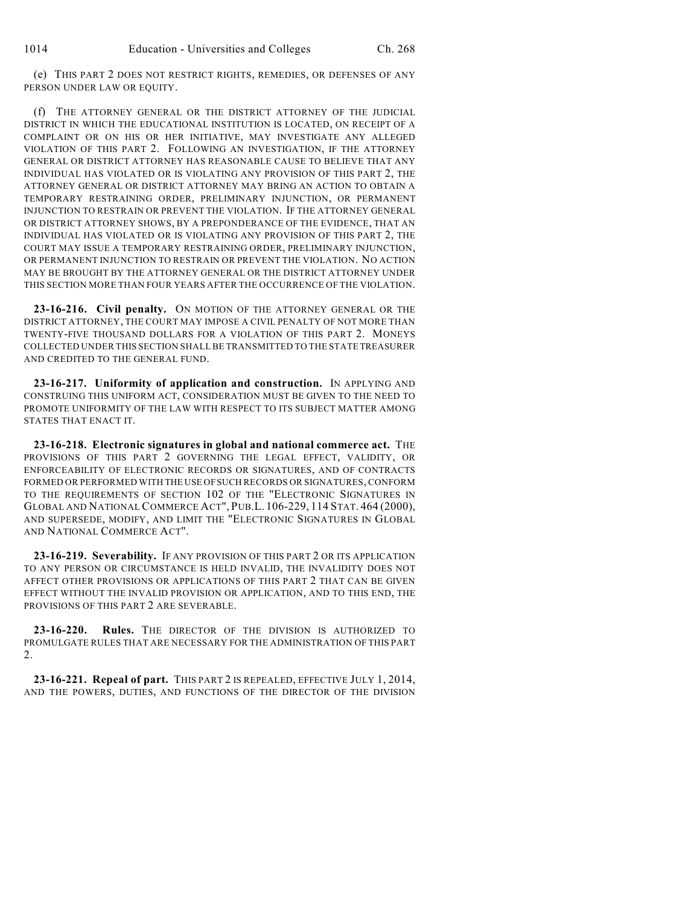(e) THIS PART 2 DOES NOT RESTRICT RIGHTS, REMEDIES, OR DEFENSES OF ANY PERSON UNDER LAW OR EQUITY.

(f) THE ATTORNEY GENERAL OR THE DISTRICT ATTORNEY OF THE JUDICIAL DISTRICT IN WHICH THE EDUCATIONAL INSTITUTION IS LOCATED, ON RECEIPT OF A COMPLAINT OR ON HIS OR HER INITIATIVE, MAY INVESTIGATE ANY ALLEGED VIOLATION OF THIS PART 2. FOLLOWING AN INVESTIGATION, IF THE ATTORNEY GENERAL OR DISTRICT ATTORNEY HAS REASONABLE CAUSE TO BELIEVE THAT ANY INDIVIDUAL HAS VIOLATED OR IS VIOLATING ANY PROVISION OF THIS PART 2, THE ATTORNEY GENERAL OR DISTRICT ATTORNEY MAY BRING AN ACTION TO OBTAIN A TEMPORARY RESTRAINING ORDER, PRELIMINARY INJUNCTION, OR PERMANENT INJUNCTION TO RESTRAIN OR PREVENT THE VIOLATION. IF THE ATTORNEY GENERAL OR DISTRICT ATTORNEY SHOWS, BY A PREPONDERANCE OF THE EVIDENCE, THAT AN INDIVIDUAL HAS VIOLATED OR IS VIOLATING ANY PROVISION OF THIS PART 2, THE COURT MAY ISSUE A TEMPORARY RESTRAINING ORDER, PRELIMINARY INJUNCTION, OR PERMANENT INJUNCTION TO RESTRAIN OR PREVENT THE VIOLATION. NO ACTION MAY BE BROUGHT BY THE ATTORNEY GENERAL OR THE DISTRICT ATTORNEY UNDER THIS SECTION MORE THAN FOUR YEARS AFTER THE OCCURRENCE OF THE VIOLATION.

**23-16-216. Civil penalty.** ON MOTION OF THE ATTORNEY GENERAL OR THE DISTRICT ATTORNEY, THE COURT MAY IMPOSE A CIVIL PENALTY OF NOT MORE THAN TWENTY-FIVE THOUSAND DOLLARS FOR A VIOLATION OF THIS PART 2. MONEYS COLLECTED UNDER THIS SECTION SHALL BE TRANSMITTED TO THE STATE TREASURER AND CREDITED TO THE GENERAL FUND.

**23-16-217. Uniformity of application and construction.** IN APPLYING AND CONSTRUING THIS UNIFORM ACT, CONSIDERATION MUST BE GIVEN TO THE NEED TO PROMOTE UNIFORMITY OF THE LAW WITH RESPECT TO ITS SUBJECT MATTER AMONG STATES THAT ENACT IT.

**23-16-218. Electronic signatures in global and national commerce act.** THE PROVISIONS OF THIS PART 2 GOVERNING THE LEGAL EFFECT, VALIDITY, OR ENFORCEABILITY OF ELECTRONIC RECORDS OR SIGNATURES, AND OF CONTRACTS FORMED OR PERFORMED WITH THE USE OF SUCH RECORDS OR SIGNATURES, CONFORM TO THE REQUIREMENTS OF SECTION 102 OF THE "ELECTRONIC SIGNATURES IN GLOBAL AND NATIONAL COMMERCE ACT", PUB.L. 106-229, 114 STAT. 464 (2000), AND SUPERSEDE, MODIFY, AND LIMIT THE "ELECTRONIC SIGNATURES IN GLOBAL AND NATIONAL COMMERCE ACT".

**23-16-219. Severability.** IF ANY PROVISION OF THIS PART 2 OR ITS APPLICATION TO ANY PERSON OR CIRCUMSTANCE IS HELD INVALID, THE INVALIDITY DOES NOT AFFECT OTHER PROVISIONS OR APPLICATIONS OF THIS PART 2 THAT CAN BE GIVEN EFFECT WITHOUT THE INVALID PROVISION OR APPLICATION, AND TO THIS END, THE PROVISIONS OF THIS PART 2 ARE SEVERABLE.

**23-16-220. Rules.** THE DIRECTOR OF THE DIVISION IS AUTHORIZED TO PROMULGATE RULES THAT ARE NECESSARY FOR THE ADMINISTRATION OF THIS PART 2.

**23-16-221. Repeal of part.** THIS PART 2 IS REPEALED, EFFECTIVE JULY 1, 2014, AND THE POWERS, DUTIES, AND FUNCTIONS OF THE DIRECTOR OF THE DIVISION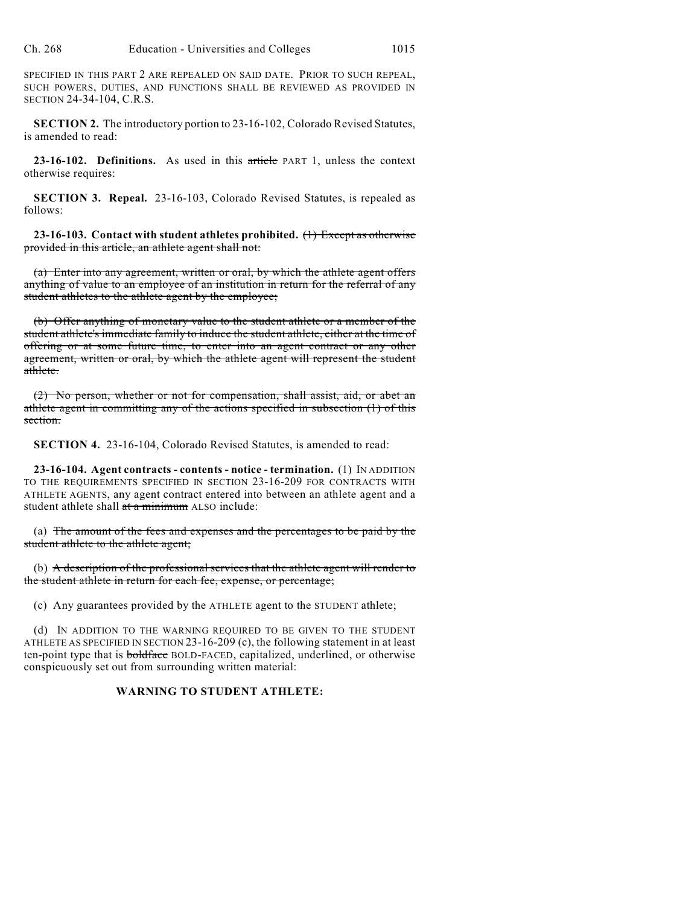SPECIFIED IN THIS PART 2 ARE REPEALED ON SAID DATE. PRIOR TO SUCH REPEAL, SUCH POWERS, DUTIES, AND FUNCTIONS SHALL BE REVIEWED AS PROVIDED IN SECTION 24-34-104, C.R.S.

**SECTION 2.** The introductory portion to 23-16-102, Colorado Revised Statutes, is amended to read:

**23-16-102. Definitions.** As used in this article PART 1, unless the context otherwise requires:

**SECTION 3. Repeal.** 23-16-103, Colorado Revised Statutes, is repealed as follows:

**23-16-103. Contact with student athletes prohibited.** (1) Except as otherwise provided in this article, an athlete agent shall not:

(a) Enter into any agreement, written or oral, by which the athlete agent offers anything of value to an employee of an institution in return for the referral of any student athletes to the athlete agent by the employee;

(b) Offer anything of monetary value to the student athlete or a member of the student athlete's immediate family to induce the student athlete, either at the time of offering or at some future time, to enter into an agent contract or any other agreement, written or oral, by which the athlete agent will represent the student athlete.

(2) No person, whether or not for compensation, shall assist, aid, or abet an athlete agent in committing any of the actions specified in subsection (1) of this section.

**SECTION 4.** 23-16-104, Colorado Revised Statutes, is amended to read:

**23-16-104. Agent contracts - contents - notice - termination.** (1) IN ADDITION TO THE REQUIREMENTS SPECIFIED IN SECTION 23-16-209 FOR CONTRACTS WITH ATHLETE AGENTS, any agent contract entered into between an athlete agent and a student athlete shall at a minimum ALSO include:

(a) The amount of the fees and expenses and the percentages to be paid by the student athlete to the athlete agent;

(b) A description of the professional services that the athlete agent will render to the student athlete in return for each fee, expense, or percentage;

(c) Any guarantees provided by the ATHLETE agent to the STUDENT athlete;

(d) IN ADDITION TO THE WARNING REQUIRED TO BE GIVEN TO THE STUDENT ATHLETE AS SPECIFIED IN SECTION 23-16-209 (c), the following statement in at least ten-point type that is **boldface** BOLD-FACED, capitalized, underlined, or otherwise conspicuously set out from surrounding written material:

## **WARNING TO STUDENT ATHLETE:**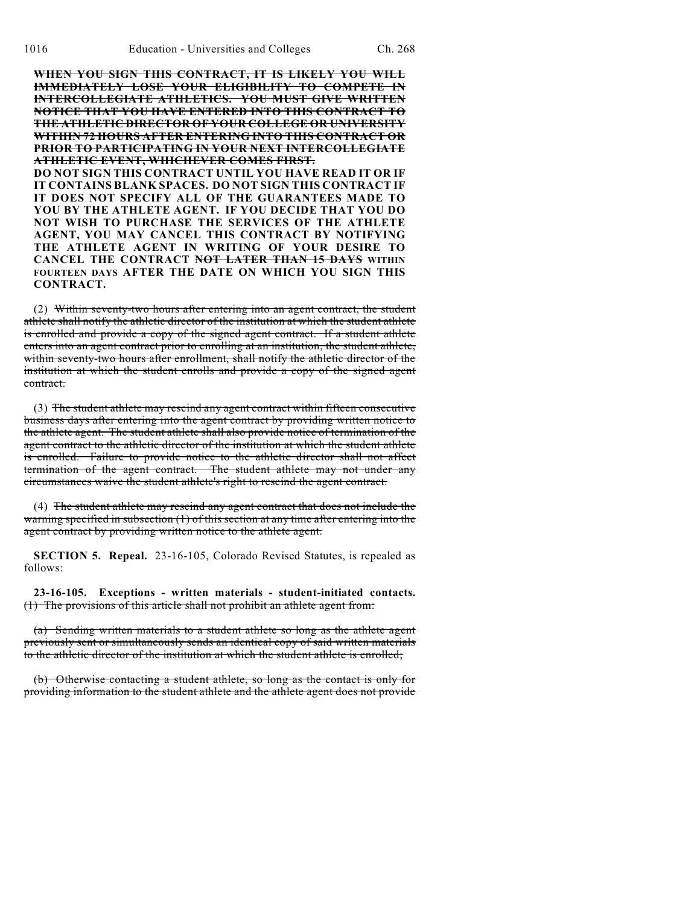**WHEN YOU SIGN THIS CONTRACT, IT IS LIKELY YOU WILL IMMEDIATELY LOSE YOUR ELIGIBILITY TO COMPETE IN INTERCOLLEGIATE ATHLETICS. YOU MUST GIVE WRITTEN NOTICE THAT YOU HAVE ENTERED INTO THIS CONTRACT TO THE ATHLETIC DIRECTOR OF YOUR COLLEGE OR UNIVERSITY WITHIN 72 HOURS AFTER ENTERING INTO THIS CONTRACT OR PRIOR TO PARTICIPATING IN YOUR NEXT INTERCOLLEGIATE ATHLETIC EVENT, WHICHEVER COMES FIRST. DO NOT SIGN THIS CONTRACT UNTIL YOU HAVE READ IT OR IF IT CONTAINS BLANK SPACES. DO NOT SIGN THIS CONTRACT IF IT DOES NOT SPECIFY ALL OF THE GUARANTEES MADE TO YOU BY THE ATHLETE AGENT. IF YOU DECIDE THAT YOU DO NOT WISH TO PURCHASE THE SERVICES OF THE ATHLETE AGENT, YOU MAY CANCEL THIS CONTRACT BY NOTIFYING THE ATHLETE AGENT IN WRITING OF YOUR DESIRE TO CANCEL THE CONTRACT NOT LATER THAN 15 DAYS WITHIN FOURTEEN DAYS AFTER THE DATE ON WHICH YOU SIGN THIS CONTRACT.**

(2) Within seventy-two hours after entering into an agent contract, the student athlete shall notify the athletic director of the institution at which the student athlete is enrolled and provide a copy of the signed agent contract. If a student athlete enters into an agent contract prior to enrolling at an institution, the student athlete, within seventy-two hours after enrollment, shall notify the athletic director of the institution at which the student enrolls and provide a copy of the signed agent contract.

(3) The student athlete may rescind any agent contract within fifteen consecutive business days after entering into the agent contract by providing written notice to the athlete agent. The student athlete shall also provide notice of termination of the agent contract to the athletic director of the institution at which the student athlete is enrolled. Failure to provide notice to the athletic director shall not affect termination of the agent contract. The student athlete may not under any circumstances waive the student athlete's right to rescind the agent contract.

(4) The student athlete may rescind any agent contract that does not include the warning specified in subsection  $(1)$  of this section at any time after entering into the agent contract by providing written notice to the athlete agent.

**SECTION 5. Repeal.** 23-16-105, Colorado Revised Statutes, is repealed as follows:

**23-16-105. Exceptions - written materials - student-initiated contacts.** (1) The provisions of this article shall not prohibit an athlete agent from:

(a) Sending written materials to a student athlete so long as the athlete agent previously sent or simultaneously sends an identical copy of said written materials to the athletic director of the institution at which the student athlete is enrolled;

(b) Otherwise contacting a student athlete, so long as the contact is only for providing information to the student athlete and the athlete agent does not provide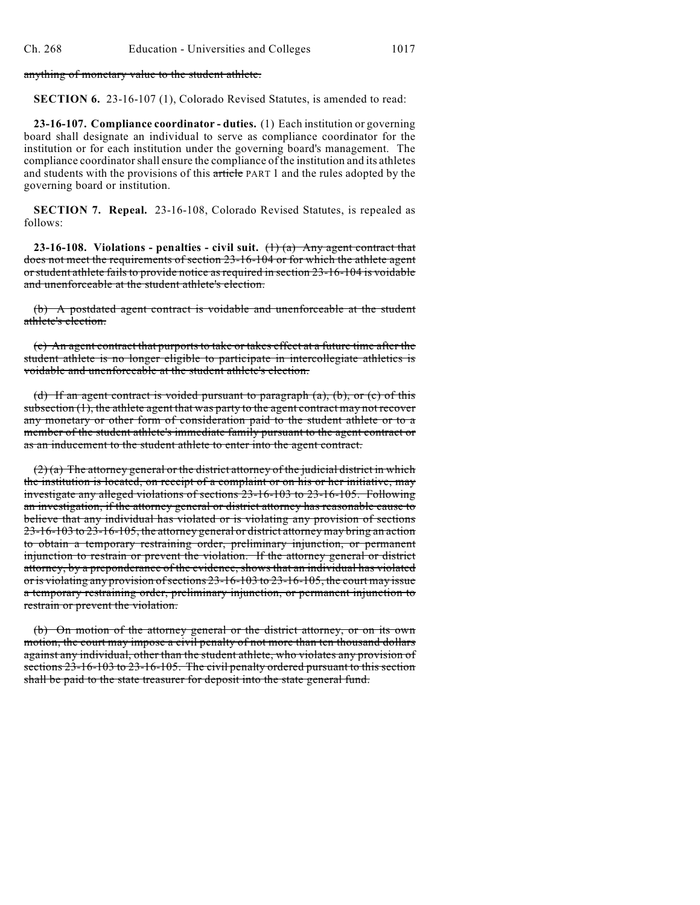anything of monetary value to the student athlete.

**SECTION 6.** 23-16-107 (1), Colorado Revised Statutes, is amended to read:

**23-16-107. Compliance coordinator - duties.** (1) Each institution or governing board shall designate an individual to serve as compliance coordinator for the institution or for each institution under the governing board's management. The compliance coordinator shall ensure the compliance of the institution and its athletes and students with the provisions of this article PART 1 and the rules adopted by the governing board or institution.

**SECTION 7. Repeal.** 23-16-108, Colorado Revised Statutes, is repealed as follows:

**23-16-108. Violations - penalties - civil suit.** (1) (a) Any agent contract that does not meet the requirements of section 23-16-104 or for which the athlete agent or student athlete fails to provide notice as required in section 23-16-104 is voidable and unenforceable at the student athlete's election.

(b) A postdated agent contract is voidable and unenforceable at the student athlete's election.

(c) An agent contract that purports to take or takes effect at a future time after the student athlete is no longer eligible to participate in intercollegiate athletics is voidable and unenforceable at the student athlete's election.

(d) If an agent contract is voided pursuant to paragraph (a), (b), or (c) of this subsection (1), the athlete agent that was party to the agent contract may not recover any monetary or other form of consideration paid to the student athlete or to a member of the student athlete's immediate family pursuant to the agent contract or as an inducement to the student athlete to enter into the agent contract.

 $(2)$  (a) The attorney general or the district attorney of the judicial district in which the institution is located, on receipt of a complaint or on his or her initiative, may investigate any alleged violations of sections 23-16-103 to 23-16-105. Following an investigation, if the attorney general or district attorney has reasonable cause to believe that any individual has violated or is violating any provision of sections 23-16-103 to 23-16-105, the attorney general or district attorney may bring an action to obtain a temporary restraining order, preliminary injunction, or permanent injunction to restrain or prevent the violation. If the attorney general or district attorney, by a preponderance of the evidence, shows that an individual has violated or is violating any provision ofsections 23-16-103 to 23-16-105, the court may issue a temporary restraining order, preliminary injunction, or permanent injunction to restrain or prevent the violation.

(b) On motion of the attorney general or the district attorney, or on its own motion, the court may impose a civil penalty of not more than ten thousand dollars against any individual, other than the student athlete, who violates any provision of sections 23-16-103 to 23-16-105. The civil penalty ordered pursuant to this section shall be paid to the state treasurer for deposit into the state general fund.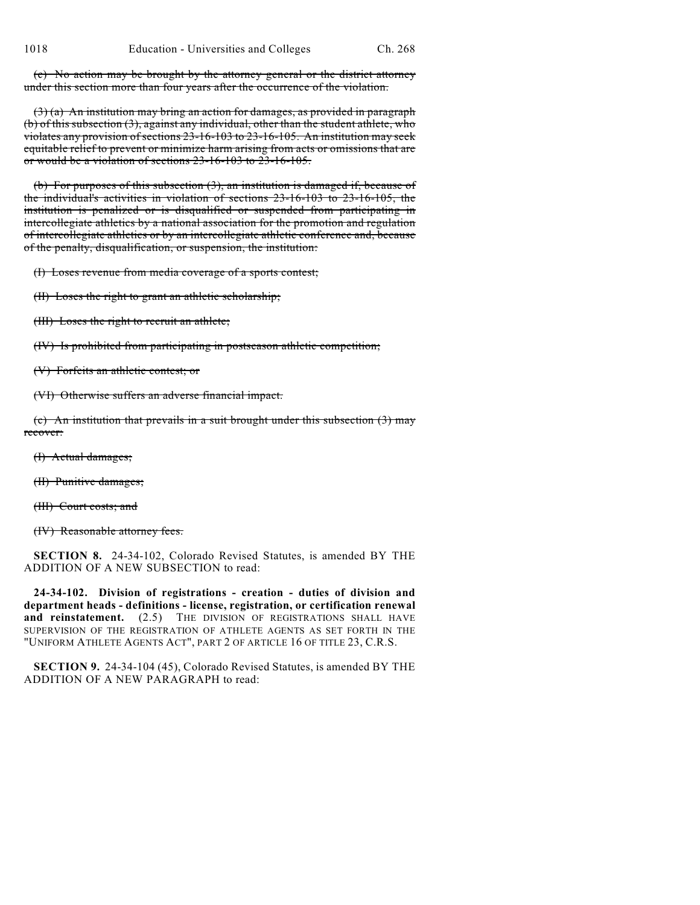(c) No action may be brought by the attorney general or the district attorney under this section more than four years after the occurrence of the violation.

 $(3)$  (a) An institution may bring an action for damages, as provided in paragraph (b) of this subsection (3), against any individual, other than the student athlete, who violates any provision of sections 23-16-103 to 23-16-105. An institution may seek equitable relief to prevent or minimize harm arising from acts or omissions that are or would be a violation of sections 23-16-103 to 23-16-105.

(b) For purposes of this subsection (3), an institution is damaged if, because of the individual's activities in violation of sections 23-16-103 to 23-16-105, the institution is penalized or is disqualified or suspended from participating in intercollegiate athletics by a national association for the promotion and regulation of intercollegiate athletics or by an intercollegiate athletic conference and, because of the penalty, disqualification, or suspension, the institution:

(I) Loses revenue from media coverage of a sports contest;

(II) Loses the right to grant an athletic scholarship;

(III) Loses the right to recruit an athlete;

(IV) Is prohibited from participating in postseason athletic competition;

(V) Forfeits an athletic contest; or

(VI) Otherwise suffers an adverse financial impact.

(c) An institution that prevails in a suit brought under this subsection (3) may recover:

(I) Actual damages;

(II) Punitive damages;

(III) Court costs; and

(IV) Reasonable attorney fees.

**SECTION 8.** 24-34-102, Colorado Revised Statutes, is amended BY THE ADDITION OF A NEW SUBSECTION to read:

**24-34-102. Division of registrations - creation - duties of division and department heads - definitions - license, registration, or certification renewal** and reinstatement. (2.5) THE DIVISION OF REGISTRATIONS SHALL HAVE SUPERVISION OF THE REGISTRATION OF ATHLETE AGENTS AS SET FORTH IN THE "UNIFORM ATHLETE AGENTS ACT", PART 2 OF ARTICLE 16 OF TITLE 23, C.R.S.

**SECTION 9.** 24-34-104 (45), Colorado Revised Statutes, is amended BY THE ADDITION OF A NEW PARAGRAPH to read: